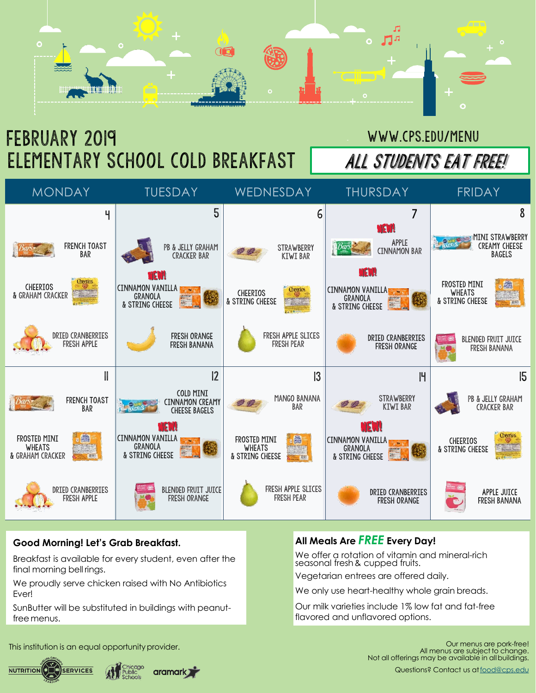

# February 2019 ELEMENTARY SCHOOL COLD BREAKFAST | ALL STUDENTS EAT FREE!

## www.cps.edu/menu

| <b>MONDAY</b>                                     |                                         | <b>TUESDAY</b>                                                |                                                             | <b>WEDNESDAY</b>                                 |                                         |                | <b>THURSDAY</b>                                                      |   | <b>FRIDAY</b>                                    |                                                   |
|---------------------------------------------------|-----------------------------------------|---------------------------------------------------------------|-------------------------------------------------------------|--------------------------------------------------|-----------------------------------------|----------------|----------------------------------------------------------------------|---|--------------------------------------------------|---------------------------------------------------|
|                                                   | Ч                                       |                                                               | $5\overline{)}$                                             |                                                  |                                         | 6              |                                                                      | 7 |                                                  | 8                                                 |
|                                                   | <b>FRENCH TOAST</b><br><b>BAR</b>       |                                                               | PB & JELLY GRAHAM<br><b>CRACKER BAR</b>                     |                                                  | <b>STRAWBERRY</b><br><b>KIWI BAR</b>    |                | NEW!<br>APPLE<br><b>CINNAMON BAR</b>                                 |   |                                                  | MINI STRAWBERRY<br>CREAMY CHEESE<br><b>BAGELS</b> |
| <b>CHEERIOS</b><br>& GRAHAM CRACKER               | <b>Cheerios</b>                         | NAVH<br><b>CINNAMON VANILLA</b><br>GRANOLA<br>& STRING CHEESE |                                                             | <b>CHEERIOS</b><br>& STRING CHEESE               | <b>Cheerios</b>                         |                | NEWI<br><b>CINNAMON VANILLA</b><br>GRANOLA<br>& STRING CHEESE        |   | FROSTED MINI<br><b>WHEATS</b><br>& STRING CHEESE | 圖<br>$-359$                                       |
|                                                   | DRIED CRANBERRIES<br><b>FRESH APPLE</b> |                                                               | <b>FRESH ORANGE</b><br><b>FRESH BANANA</b>                  |                                                  | FRESH APPLE SLICES<br><b>FRESH PEAR</b> |                | <b>DRIED CRANBERRIES</b><br><b>FRESH ORANGE</b>                      |   |                                                  | <b>BLENDED FRUIT JUICE</b><br><b>FRESH BANANA</b> |
|                                                   |                                         |                                                               | 12                                                          |                                                  |                                         | $\overline{3}$ |                                                                      | H |                                                  | 15                                                |
|                                                   | <b>FRENCH TOAST</b><br><b>BAR</b>       |                                                               | COLD MINI<br><b>CINNAMON CREAMY</b><br><b>CHEESE BAGELS</b> |                                                  | MANGO BANANA<br><b>BAR</b>              |                | <b>STRAWBERRY</b><br><b>KIWI BAR</b>                                 |   |                                                  | PB & JELLY GRAHAM<br><b>CRACKER BAR</b>           |
| FROSTED MINI<br><b>WHEATS</b><br>& GRAHAM CRACKER | 國<br>$-301$                             | <b>CINNAMON VANILLA</b><br>GRANOLA<br>& STRING CHEESE         | nam                                                         | FROSTED MINI<br><b>WHEATS</b><br>& STRING CHEESE | 國                                       |                | <u>NEW!</u><br><b>CINNAMON VANILLA</b><br>GRANOLA<br>& STRING CHEESE |   | <b>CHEERIOS</b><br>& STRING CHEESE               | <b>Cheenos</b>                                    |
|                                                   | DRIED CRANBERRIES<br><b>FRESH APPLE</b> |                                                               | BLENDED FRUIT JUICE<br><b>FRESH ORANGE</b>                  |                                                  | FRESH APPLE SLICES<br><b>FRESH PEAR</b> |                | <b>DRIED CRANBERRIES</b><br><b>FRESH ORANGE</b>                      |   |                                                  | APPLE JUICE<br><b>FRESH BANANA</b>                |

### **Good Morning! Let's Grab Breakfast.**

Breakfast is available for every student, even after the final morning bell rings.

We proudly serve chicken raised with No Antibiotics Ever!

SunButter will be substituted in buildings with peanutfree menus.

## **All Meals Are** *FREE* **Every Day!**

We offer a rotation of vitamin and mineral-rich seasonal fresh& cupped fruits.

Vegetarian entrees are offered daily.

We only use heart-healthy whole grain breads.

Our milk varieties include 1% low fat and fat-free flavored and unflavored options.

This institution is an equal opportunity provider.



Our menus are pork-free! All menus are subject to change. Not all offerings may be available in allbuildings.

Questions? Contact us at [food@cps.edu](mailto:food@cps.edu)